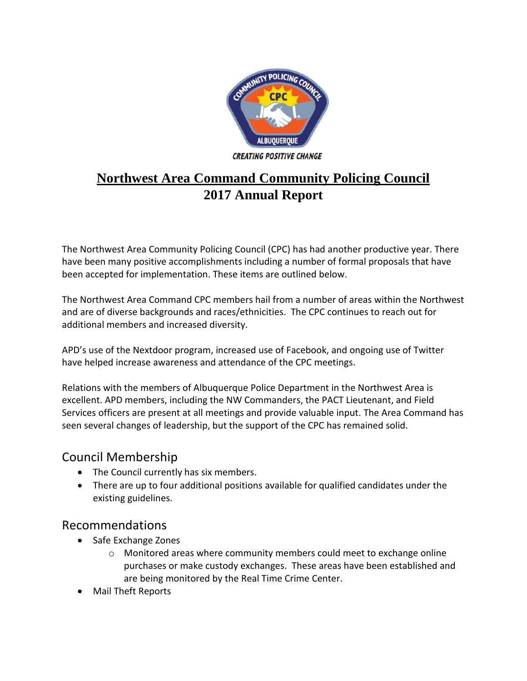

# **Northwest Area Command Community Policing Council 2017 Annual Report**

The Northwest Area Community Policing Council (CPC) has had another productive year. There have been many positive accomplishments including a number of formal proposals that have been accepted for implementation. These items are outlined below.

The Northwest Area Command CPC members hail from a number of areas within the Northwest and are of diverse backgrounds and races/ethnicities. The CPC continues to reach out for additional members and increased diversity.

APD's use of the Nextdoor program, increased use of Facebook, and ongoing use of Twitter have helped increase awareness and attendance of the CPC meetings.

Relations with the members of Albuquerque Police Department in the Northwest Area is excellent. APD members, including the NW Commanders, the PACT Lieutenant, and Field Services officers are present at all meetings and provide valuable input. The Area Command has seen several changes of leadership, but the support of the CPC has remained solid.

### Council Membership

- The Council currently has six members.
- There are up to four additional positions available for qualified candidates under the existing guidelines.

#### Recommendations

- Safe Exchange Zones
	- o Monitored areas where community members could meet to exchange online purchases or make custody exchanges. These areas have been established and are being monitored by the Real Time Crime Center.
- Mail Theft Reports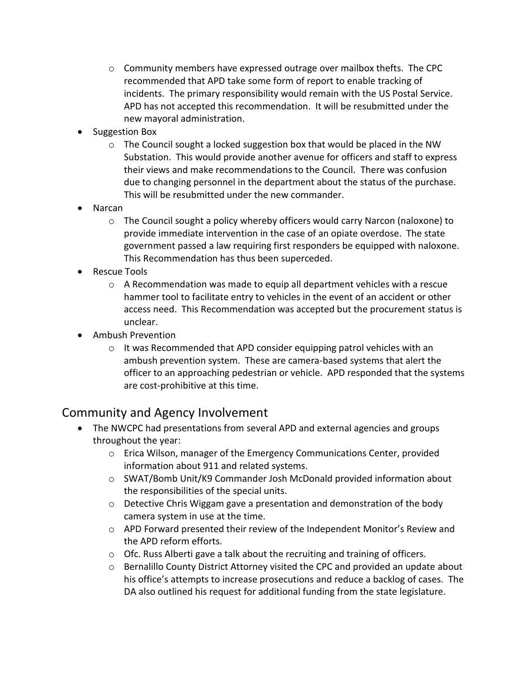- $\circ$  Community members have expressed outrage over mailbox thefts. The CPC recommended that APD take some form of report to enable tracking of incidents. The primary responsibility would remain with the US Postal Service. APD has not accepted this recommendation. It will be resubmitted under the new mayoral administration.
- Suggestion Box
	- $\circ$  The Council sought a locked suggestion box that would be placed in the NW Substation. This would provide another avenue for officers and staff to express their views and make recommendations to the Council. There was confusion due to changing personnel in the department about the status of the purchase. This will be resubmitted under the new commander.
- Narcan
	- o The Council sought a policy whereby officers would carry Narcon (naloxone) to provide immediate intervention in the case of an opiate overdose. The state government passed a law requiring first responders be equipped with naloxone. This Recommendation has thus been superceded.
- Rescue Tools
	- $\circ$  A Recommendation was made to equip all department vehicles with a rescue hammer tool to facilitate entry to vehicles in the event of an accident or other access need. This Recommendation was accepted but the procurement status is unclear.
- Ambush Prevention
	- $\circ$  It was Recommended that APD consider equipping patrol vehicles with an ambush prevention system. These are camera-based systems that alert the officer to an approaching pedestrian or vehicle. APD responded that the systems are cost-prohibitive at this time.

#### Community and Agency Involvement

- The NWCPC had presentations from several APD and external agencies and groups throughout the year:
	- o Erica Wilson, manager of the Emergency Communications Center, provided information about 911 and related systems.
	- o SWAT/Bomb Unit/K9 Commander Josh McDonald provided information about the responsibilities of the special units.
	- $\circ$  Detective Chris Wiggam gave a presentation and demonstration of the body camera system in use at the time.
	- o APD Forward presented their review of the Independent Monitor's Review and the APD reform efforts.
	- o Ofc. Russ Alberti gave a talk about the recruiting and training of officers.
	- $\circ$  Bernalillo County District Attorney visited the CPC and provided an update about his office's attempts to increase prosecutions and reduce a backlog of cases. The DA also outlined his request for additional funding from the state legislature.